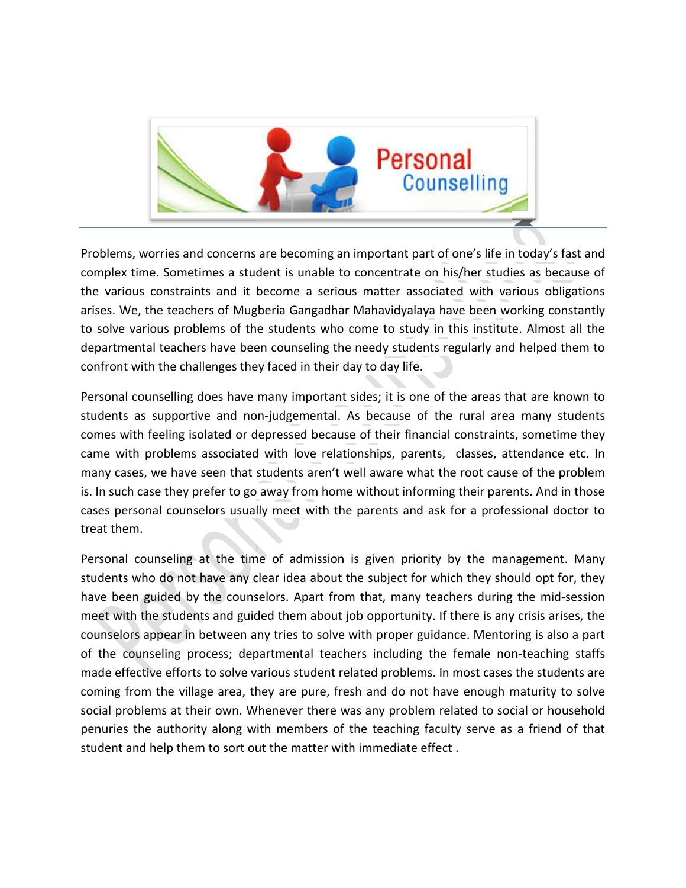

Problems, worries and concerns are becoming an important part of one's life in today's fast and complex time. Sometimes a student is unable to concentrate on his/her studies as because of the various constraints and it become a serious matter associated with various obligations arises. We, the teachers of Mugberia Gangadhar Mahavidyalaya have been working constantly to solve various problems of the students who come to study in this institute. Almost all the departmental teachers have been counseling the needy students regularly and helped them to confront with the challenges they faced in their day to day life. and concerns are becoming an important part of one's life in today's fast and<br>netimes a student is unable to concentrate on his/her studies as because of<br>raints and it become a serious matter associated with various obliga

Personal counselling does have many important sides; it is one of the areas that are known to students as supportive and non-judgemental. As because of the rural area many students comes with feeling isolated or depressed because of their financial constraints, sometime they came with problems associated with love relationships, parents, classes, attendance many cases, we have seen that students aren't well aware what the root cause of the problem many cases, we have seen that students aren't well aware what the root cause of the problem<br>is. In such case they prefer to go away from home without informing their parents. And in those cases personal counselors usually meet with the parents and ask for a professional doctor to treat them. judgemental. As because of the rural area many students<br>pressed because of their financial constraints, sometime they<br>vith love relationships, parents, classes, attendance etc. In

Personal counseling at the time of admission is given priority by the management. Many students who do not have any clear idea about the subject for which they should opt for have been guided by the counselors. Apart from that, many teachers during the mid-session meet with the students and guided them about job opportunity. If there is any crisis arises, the counselors appear in between any tries to solve with proper guidance. Mentoring is also a part of the counseling process; departmental teachers including the female non made effective efforts to solve various student related problems. In most cases the students are coming from the village area, they are pure, fresh and do not have enough maturity to solve social problems at their own. Whenever there was any problem related to social or household penuries the authority along with members of the teaching faculty serve as a friend of that<br>student and help them to sort out the matter with immediate effect . student and help them to sort out the matter with immediate effect o away from home without informing their parents. And in those<br>ally meet with the parents and ask for a professional doctor to<br>me of admission is given priority by the management. Many<br>clear idea about the subject for whic et with the parents and ask for a professional doctor to<br>admission is given priority by the management. Many<br>dea about the subject for which they should opt for, they ts and guided them about job opportunity. If there is any crisis arises, the<br>between any tries to solve with proper guidance. Mentoring is also a part<br>ocess; departmental teachers including the female non-teaching staffs to solve various student related problems. In most cases<br>ge area, they are pure, fresh and do not have enough n<br>eir own. Whenever there was any problem related to soc<br>y along with members of the teaching faculty serve as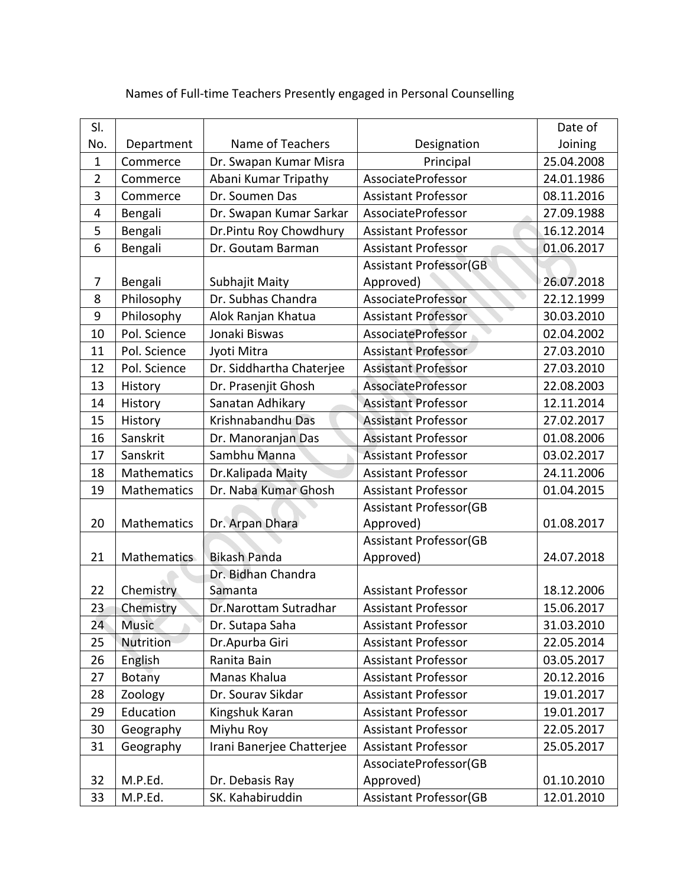| SI.            |                    |                           |                               | Date of    |
|----------------|--------------------|---------------------------|-------------------------------|------------|
| No.            | Department         | Name of Teachers          | Designation                   | Joining    |
| $\mathbf 1$    | Commerce           | Dr. Swapan Kumar Misra    | Principal                     | 25.04.2008 |
| $\overline{2}$ | Commerce           | Abani Kumar Tripathy      | AssociateProfessor            | 24.01.1986 |
| 3              | Commerce           | Dr. Soumen Das            | <b>Assistant Professor</b>    | 08.11.2016 |
| 4              | Bengali            | Dr. Swapan Kumar Sarkar   | AssociateProfessor            | 27.09.1988 |
| 5              | Bengali            | Dr.Pintu Roy Chowdhury    | <b>Assistant Professor</b>    | 16.12.2014 |
| 6              | Bengali            | Dr. Goutam Barman         | <b>Assistant Professor</b>    | 01.06.2017 |
|                |                    |                           | <b>Assistant Professor(GB</b> |            |
| 7              | Bengali            | Subhajit Maity            | Approved)                     | 26.07.2018 |
| 8              | Philosophy         | Dr. Subhas Chandra        | AssociateProfessor            | 22.12.1999 |
| 9              | Philosophy         | Alok Ranjan Khatua        | <b>Assistant Professor</b>    | 30.03.2010 |
| 10             | Pol. Science       | Jonaki Biswas             | AssociateProfessor            | 02.04.2002 |
| 11             | Pol. Science       | Jyoti Mitra               | <b>Assistant Professor</b>    | 27.03.2010 |
| 12             | Pol. Science       | Dr. Siddhartha Chaterjee  | <b>Assistant Professor</b>    | 27.03.2010 |
| 13             | History            | Dr. Prasenjit Ghosh       | AssociateProfessor            | 22.08.2003 |
| 14             | History            | Sanatan Adhikary          | <b>Assistant Professor</b>    | 12.11.2014 |
| 15             | History            | Krishnabandhu Das         | <b>Assistant Professor</b>    | 27.02.2017 |
| 16             | Sanskrit           | Dr. Manoranjan Das        | <b>Assistant Professor</b>    | 01.08.2006 |
| 17             | Sanskrit           | Sambhu Manna              | <b>Assistant Professor</b>    | 03.02.2017 |
| 18             | Mathematics        | Dr.Kalipada Maity         | <b>Assistant Professor</b>    | 24.11.2006 |
| 19             | <b>Mathematics</b> | Dr. Naba Kumar Ghosh      | <b>Assistant Professor</b>    | 01.04.2015 |
|                |                    |                           | <b>Assistant Professor(GB</b> |            |
| 20             | Mathematics        | Dr. Arpan Dhara           | Approved)                     | 01.08.2017 |
|                |                    |                           | <b>Assistant Professor(GB</b> |            |
| 21             | <b>Mathematics</b> | <b>Bikash Panda</b>       | Approved)                     | 24.07.2018 |
|                |                    | Dr. Bidhan Chandra        |                               |            |
| 22             | Chemistry          | Samanta                   | <b>Assistant Professor</b>    | 18.12.2006 |
| 23             | Chemistry          | Dr.Narottam Sutradhar     | <b>Assistant Professor</b>    | 15.06.2017 |
| 24             | <b>Music</b>       | Dr. Sutapa Saha           | <b>Assistant Professor</b>    | 31.03.2010 |
| 25             | Nutrition          | Dr.Apurba Giri            | <b>Assistant Professor</b>    | 22.05.2014 |
| 26             | English            | Ranita Bain               | <b>Assistant Professor</b>    | 03.05.2017 |
| 27             | <b>Botany</b>      | Manas Khalua              | <b>Assistant Professor</b>    | 20.12.2016 |
| 28             | Zoology            | Dr. Sourav Sikdar         | <b>Assistant Professor</b>    | 19.01.2017 |
| 29             | Education          | Kingshuk Karan            | <b>Assistant Professor</b>    | 19.01.2017 |
| 30             | Geography          | Miyhu Roy                 | <b>Assistant Professor</b>    | 22.05.2017 |
| 31             | Geography          | Irani Banerjee Chatterjee | <b>Assistant Professor</b>    | 25.05.2017 |
|                |                    |                           | AssociateProfessor(GB         |            |
| 32             | M.P.Ed.            | Dr. Debasis Ray           | Approved)                     | 01.10.2010 |
| 33             | M.P.Ed.            | SK. Kahabiruddin          | <b>Assistant Professor(GB</b> | 12.01.2010 |

## Names of Full-time Teachers Presently engaged in Personal Counselling